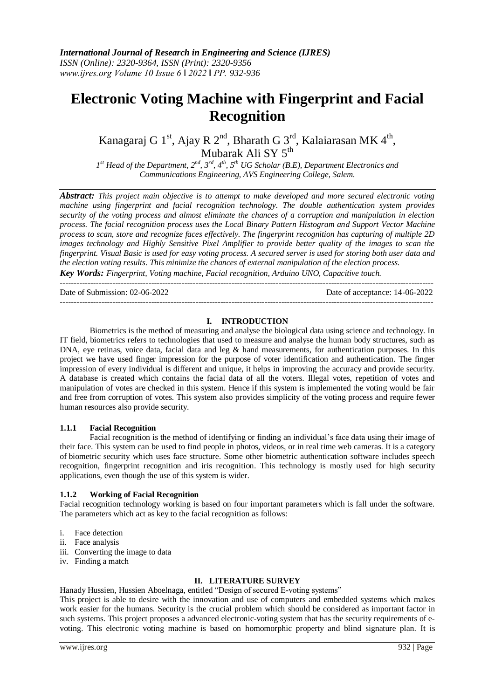# **Electronic Voting Machine with Fingerprint and Facial Recognition**

Kanagaraj G 1<sup>st</sup>, Ajay R 2<sup>nd</sup>, Bharath G 3<sup>rd</sup>, Kalaiarasan MK 4<sup>th</sup>, Mubarak Ali SY 5<sup>th</sup>

*1 st Head of the Department, 2nd, 3rd, 4th, 5th UG Scholar (B.E), Department Electronics and Communications Engineering, AVS Engineering College, Salem.*

*Abstract: This project main objective is to attempt to make developed and more secured electronic voting machine using fingerprint and facial recognition technology. The double authentication system provides security of the voting process and almost eliminate the chances of a corruption and manipulation in election process. The facial recognition process uses the Local Binary Pattern Histogram and Support Vector Machine process to scan, store and recognize faces effectively. The fingerprint recognition has capturing of multiple 2D images technology and Highly Sensitive Pixel Amplifier to provide better quality of the images to scan the fingerprint. Visual Basic is used for easy voting process. A secured server is used for storing both user data and the election voting results. This minimize the chances of external manipulation of the election process. Key Words: Fingerprint, Voting machine, Facial recognition, Arduino UNO, Capacitive touch.*

---------------------------------------------------------------------------------------------------------------------------------------

Date of Submission: 02-06-2022 Date of acceptance: 14-06-2022

## **I. INTRODUCTION**

---------------------------------------------------------------------------------------------------------------------------------------

Biometrics is the method of measuring and analyse the biological data using science and technology. In IT field, biometrics refers to technologies that used to measure and analyse the human body structures, such as DNA, eye retinas, voice data, facial data and leg & hand measurements, for authentication purposes. In this project we have used finger impression for the purpose of voter identification and authentication. The finger impression of every individual is different and unique, it helps in improving the accuracy and provide security. A database is created which contains the facial data of all the voters. Illegal votes, repetition of votes and manipulation of votes are checked in this system. Hence if this system is implemented the voting would be fair and free from corruption of votes. This system also provides simplicity of the voting process and require fewer human resources also provide security.

## **1.1.1 Facial Recognition**

Facial recognition is the method of identifying or finding an individual's face data using their image of their face. This system can be used to find people in photos, videos, or in real time web cameras. It is a category of biometric security which uses face structure. Some other biometric authentication software includes speech recognition, fingerprint recognition and iris recognition. This technology is mostly used for high security applications, even though the use of this system is wider.

## **1.1.2 Working of Facial Recognition**

Facial recognition technology working is based on four important parameters which is fall under the software. The parameters which act as key to the facial recognition as follows:

- i. Face detection
- ii. Face analysis
- iii. Converting the image to data
- iv. Finding a match

## **II. LITERATURE SURVEY**

Hanady Hussien, Hussien Aboelnaga, entitled "Design of secured E-voting systems"

This project is able to desire with the innovation and use of computers and embedded systems which makes work easier for the humans. Security is the crucial problem which should be considered as important factor in such systems. This project proposes a advanced electronic-voting system that has the security requirements of evoting. This electronic voting machine is based on homomorphic property and blind signature plan. It is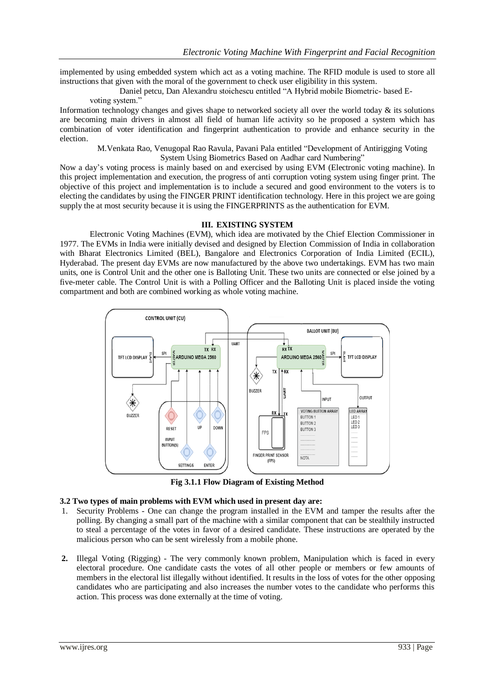implemented by using embedded system which act as a voting machine. The RFID module is used to store all instructions that given with the moral of the government to check user eligibility in this system.

Daniel petcu, Dan Alexandru stoichescu entitled "A Hybrid mobile Biometric- based E-

## voting system."

Information technology changes and gives shape to networked society all over the world today & its solutions are becoming main drivers in almost all field of human life activity so he proposed a system which has combination of voter identification and fingerprint authentication to provide and enhance security in the election.

M.Venkata Rao, Venugopal Rao Ravula, Pavani Pala entitled "Development of Antirigging Voting System Using Biometrics Based on Aadhar card Numbering"

Now a day's voting process is mainly based on and exercised by using EVM (Electronic voting machine). In this project implementation and execution, the progress of anti corruption voting system using finger print. The objective of this project and implementation is to include a secured and good environment to the voters is to electing the candidates by using the FINGER PRINT identification technology. Here in this project we are going supply the at most security because it is using the FINGERPRINTS as the authentication for EVM.

## **III. EXISTING SYSTEM**

Electronic Voting Machines (EVM), which idea are motivated by the Chief Election Commissioner in 1977. The EVMs in India were initially devised and designed by Election Commission of India in collaboration with Bharat Electronics Limited (BEL), Bangalore and Electronics Corporation of India Limited (ECIL), Hyderabad. The present day EVMs are now manufactured by the above two undertakings. EVM has two main units, one is Control Unit and the other one is Balloting Unit. These two units are connected or else joined by a five-meter cable. The Control Unit is with a Polling Officer and the Balloting Unit is placed inside the voting compartment and both are combined working as whole voting machine.



**Fig 3.1.1 Flow Diagram of Existing Method**

## **3.2 Two types of main problems with EVM which used in present day are:**

- 1. Security Problems One can change the program installed in the EVM and tamper the results after the polling. By changing a small part of the machine with a similar component that can be stealthily instructed to steal a percentage of the votes in favor of a desired candidate. These instructions are operated by the malicious person who can be sent wirelessly from a mobile phone.
- **2.** Illegal Voting (Rigging) The very commonly known problem, Manipulation which is faced in every electoral procedure. One candidate casts the votes of all other people or members or few amounts of members in the electoral list illegally without identified. It results in the loss of votes for the other opposing candidates who are participating and also increases the number votes to the candidate who performs this action. This process was done externally at the time of voting.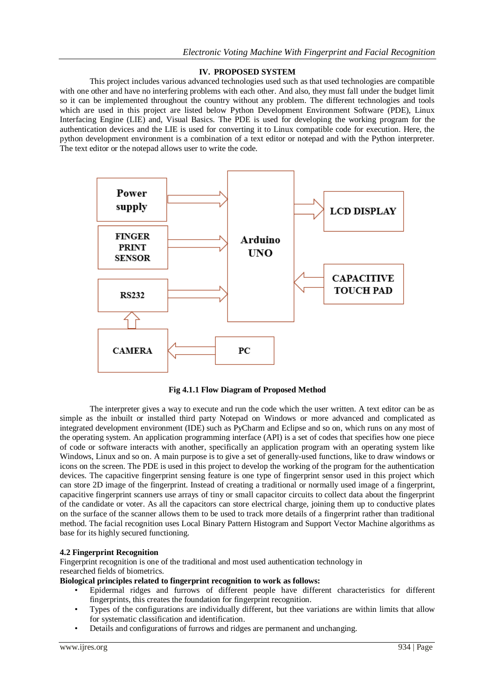## **IV. PROPOSED SYSTEM**

This project includes various advanced technologies used such as that used technologies are compatible with one other and have no interfering problems with each other. And also, they must fall under the budget limit so it can be implemented throughout the country without any problem. The different technologies and tools which are used in this project are listed below Python Development Environment Software (PDE), Linux Interfacing Engine (LIE) and, Visual Basics. The PDE is used for developing the working program for the authentication devices and the LIE is used for converting it to Linux compatible code for execution. Here, the python development environment is a combination of a text editor or notepad and with the Python interpreter. The text editor or the notepad allows user to write the code.



**Fig 4.1.1 Flow Diagram of Proposed Method**

The interpreter gives a way to execute and run the code which the user written. A text editor can be as simple as the inbuilt or installed third party Notepad on Windows or more advanced and complicated as integrated development environment (IDE) such as PyCharm and Eclipse and so on, which runs on any most of the operating system. An application programming interface (API) is a set of codes that specifies how one piece of code or software interacts with another, specifically an application program with an operating system like Windows, Linux and so on. A main purpose is to give a set of generally-used functions, like to draw windows or icons on the screen. The PDE is used in this project to develop the working of the program for the authentication devices. The capacitive fingerprint sensing feature is one type of fingerprint sensor used in this project which can store 2D image of the fingerprint. Instead of creating a traditional or normally used image of a fingerprint, capacitive fingerprint scanners use arrays of tiny or small capacitor circuits to collect data about the fingerprint of the candidate or voter. As all the capacitors can store electrical charge, joining them up to conductive plates on the surface of the scanner allows them to be used to track more details of a fingerprint rather than traditional method. The facial recognition uses Local Binary Pattern Histogram and Support Vector Machine algorithms as base for its highly secured functioning.

## **4.2 Fingerprint Recognition**

Fingerprint recognition is one of the traditional and most used authentication technology in researched fields of biometrics.

## **Biological principles related to fingerprint recognition to work as follows:**

- Epidermal ridges and furrows of different people have different characteristics for different fingerprints, this creates the foundation for fingerprint recognition.
- Types of the configurations are individually different, but thee variations are within limits that allow for systematic classification and identification.
- Details and configurations of furrows and ridges are permanent and unchanging.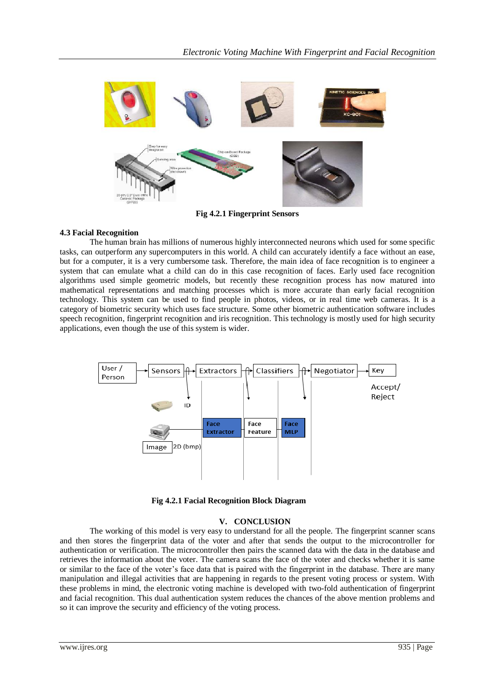

**Fig 4.2.1 Fingerprint Sensors**

## **4.3 Facial Recognition**

The human brain has millions of numerous highly interconnected neurons which used for some specific tasks, can outperform any supercomputers in this world. A child can accurately identify a face without an ease, but for a computer, it is a very cumbersome task. Therefore, the main idea of face recognition is to engineer a system that can emulate what a child can do in this case recognition of faces. Early used face recognition algorithms used simple geometric models, but recently these recognition process has now matured into mathematical representations and matching processes which is more accurate than early facial recognition technology. This system can be used to find people in photos, videos, or in real time web cameras. It is a category of biometric security which uses face structure. Some other biometric authentication software includes speech recognition, fingerprint recognition and iris recognition. This technology is mostly used for high security applications, even though the use of this system is wider.



**Fig 4.2.1 Facial Recognition Block Diagram**

## **V. CONCLUSION**

The working of this model is very easy to understand for all the people. The fingerprint scanner scans and then stores the fingerprint data of the voter and after that sends the output to the microcontroller for authentication or verification. The microcontroller then pairs the scanned data with the data in the database and retrieves the information about the voter. The camera scans the face of the voter and checks whether it is same or similar to the face of the voter's face data that is paired with the fingerprint in the database. There are many manipulation and illegal activities that are happening in regards to the present voting process or system. With these problems in mind, the electronic voting machine is developed with two-fold authentication of fingerprint and facial recognition. This dual authentication system reduces the chances of the above mention problems and so it can improve the security and efficiency of the voting process.